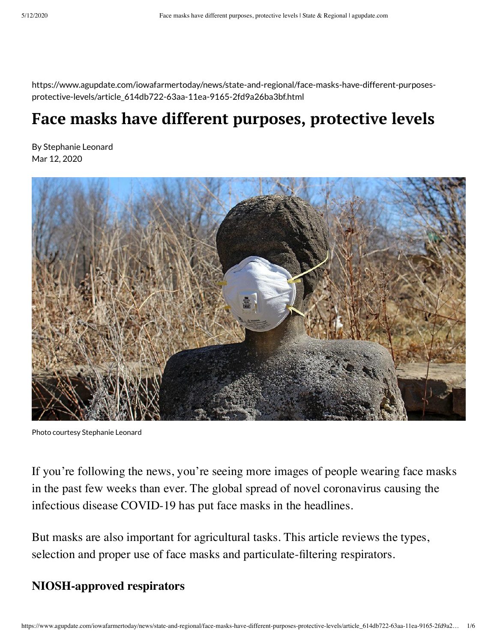https://www.agupdate.com/iowafarmertoday/news/state-and-regional/face-masks-have-different-purposesprotective-levels/article\_614db722-63aa-11ea-9165-2fd9a26ba3bf.html

# **Face masks have different purposes, protective levels**

By Stephanie Leonard Mar 12, 2020



Photo courtesy Stephanie Leonard

If you're following the news, you're seeing more images of people wearing face masks in the past few weeks than ever. The global spread of novel coronavirus causing the infectious disease COVID-19 has put face masks in the headlines.

But masks are also important for agricultural tasks. This article reviews the types, selection and proper use of face masks and particulate-filtering respirators.

## **NIOSH-approved respirators**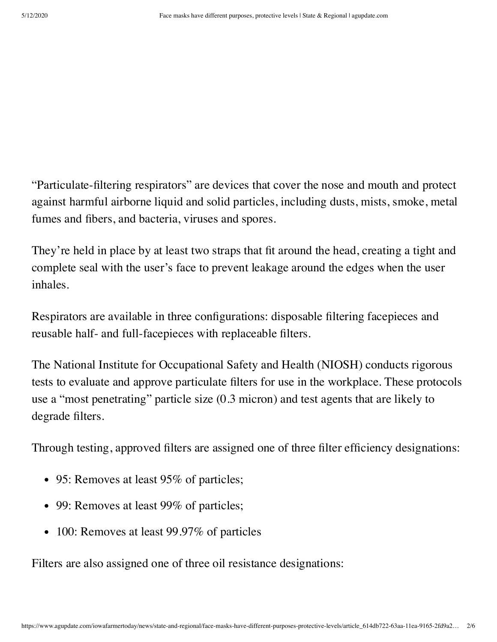"Particulate-filtering respirators" are devices that cover the nose and mouth and protect against harmful airborne liquid and solid particles, including dusts, mists, smoke, metal fumes and fibers, and bacteria, viruses and spores.

They're held in place by at least two straps that fit around the head, creating a tight and complete seal with the user's face to prevent leakage around the edges when the user inhales.

Respirators are available in three configurations: disposable filtering facepieces and reusable half- and full-facepieces with replaceable filters.

The National Institute for Occupational Safety and Health (NIOSH) conducts rigorous tests to evaluate and approve particulate filters for use in the workplace. These protocols use a "most penetrating" particle size (0.3 micron) and test agents that are likely to degrade filters.

Through testing, approved filters are assigned one of three filter efficiency designations:

- 95: Removes at least 95% of particles;
- 99: Removes at least 99% of particles;
- 100: Removes at least 99.97% of particles

Filters are also assigned one of three oil resistance designations: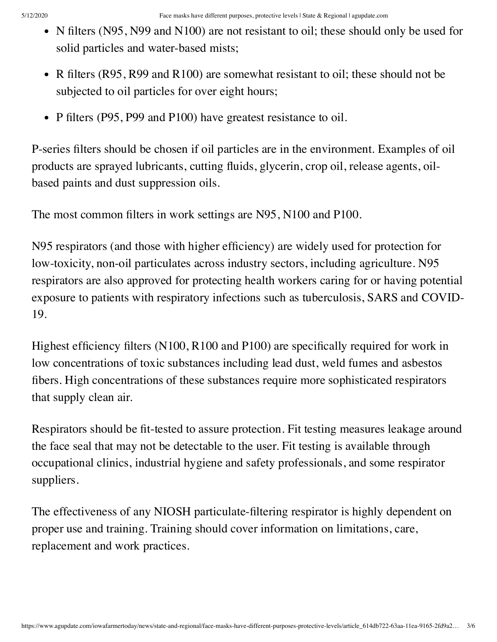- N filters (N95, N99 and N100) are not resistant to oil; these should only be used for solid particles and water-based mists;
- R filters (R95, R99 and R100) are somewhat resistant to oil; these should not be subjected to oil particles for over eight hours;
- P filters (P95, P99 and P100) have greatest resistance to oil.

P-series filters should be chosen if oil particles are in the environment. Examples of oil products are sprayed lubricants, cutting fluids, glycerin, crop oil, release agents, oilbased paints and dust suppression oils.

The most common filters in work settings are N95, N100 and P100.

N95 respirators (and those with higher efficiency) are widely used for protection for low-toxicity, non-oil particulates across industry sectors, including agriculture. N95 respirators are also approved for protecting health workers caring for or having potential exposure to patients with respiratory infections such as tuberculosis, SARS and COVID-19.

Highest efficiency filters (N100, R100 and P100) are specifically required for work in low concentrations of toxic substances including lead dust, weld fumes and asbestos fibers. High concentrations of these substances require more sophisticated respirators that supply clean air.

Respirators should be fit-tested to assure protection. Fit testing measures leakage around the face seal that may not be detectable to the user. Fit testing is available through occupational clinics, industrial hygiene and safety professionals, and some respirator suppliers.

The effectiveness of any NIOSH particulate-filtering respirator is highly dependent on proper use and training. Training should cover information on limitations, care, replacement and work practices.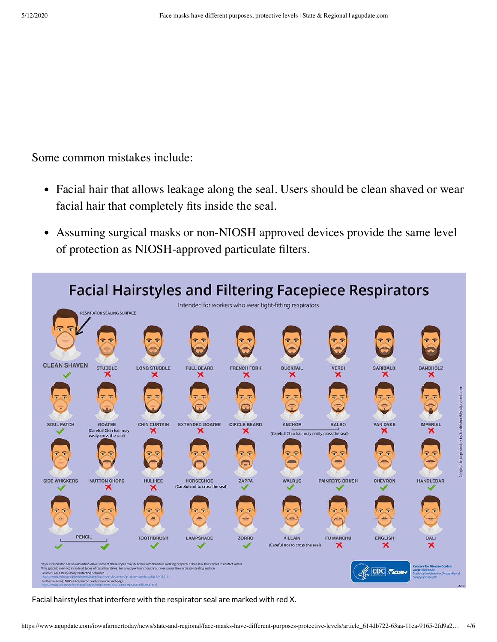Some common mistakes include:

- Facial hair that allows leakage along the seal. Users should be clean shaved or wear facial hair that completely fits inside the seal.
- Assuming surgical masks or non-NIOSH approved devices provide the same level  $\bullet$ of protection as NIOSH-approved particulate filters.



Facial hairstyles that interfere with the respirator seal are marked with red X.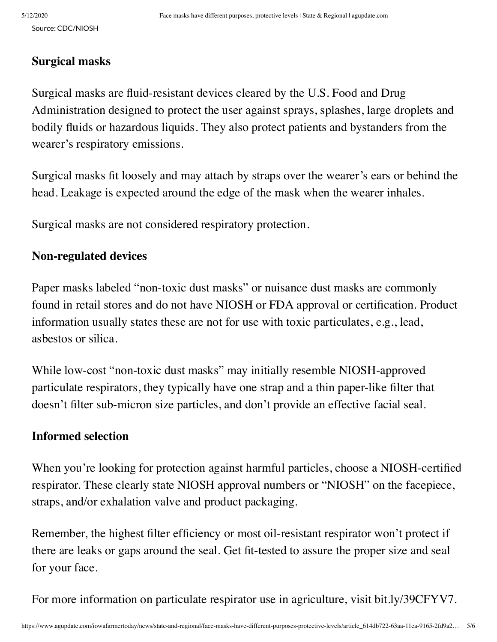### **Surgical masks**

Surgical masks are fluid-resistant devices cleared by the U.S. Food and Drug Administration designed to protect the user against sprays, splashes, large droplets and bodily fluids or hazardous liquids. They also protect patients and bystanders from the wearer's respiratory emissions.

Surgical masks fit loosely and may attach by straps over the wearer's ears or behind the head. Leakage is expected around the edge of the mask when the wearer inhales.

Surgical masks are not considered respiratory protection.

### **Non-regulated devices**

Paper masks labeled "non-toxic dust masks" or nuisance dust masks are commonly found in retail stores and do not have NIOSH or FDA approval or certification. Product information usually states these are not for use with toxic particulates, e.g., lead, asbestos or silica.

While low-cost "non-toxic dust masks" may initially resemble NIOSH-approved particulate respirators, they typically have one strap and a thin paper-like filter that doesn't filter sub-micron size particles, and don't provide an effective facial seal.

#### **Informed selection**

When you're looking for protection against harmful particles, choose a NIOSH-certified respirator. These clearly state NIOSH approval numbers or "NIOSH" on the facepiece, straps, and/or exhalation valve and product packaging.

Remember, the highest filter efficiency or most oil-resistant respirator won't protect if there are leaks or gaps around the seal. Get fit-tested to assure the proper size and seal for your face.

For more information on particulate respirator use in agriculture, visit [bit.ly/39CFYV7](http://bit.ly/39CFYV7).